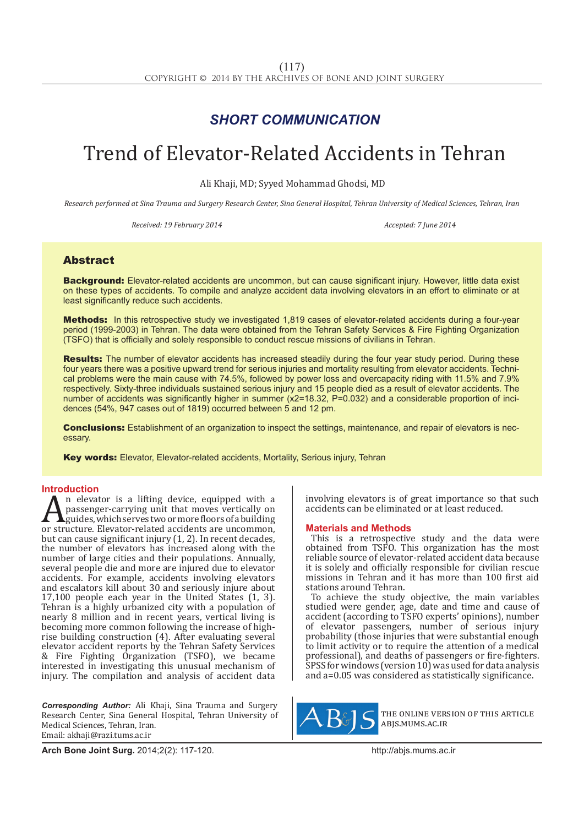## *SHORT COMMUNICATION*

# Trend of Elevator-Related Accidents in Tehran

Ali Khaji, MD; Syyed Mohammad Ghodsi, MD

*Research performed at Sina Trauma and Surgery Research Center, Sina General Hospital, Tehran University of Medical Sciences, Tehran, Iran*

*Received: 19 February 2014* 2004 **Accepted: 7 June 2014** 2014

### Abstract

Background: Elevator-related accidents are uncommon, but can cause significant injury. However, little data exist on these types of accidents. To compile and analyze accident data involving elevators in an effort to eliminate or at least significantly reduce such accidents.

Methods: In this retrospective study we investigated 1,819 cases of elevator-related accidents during a four-year period (1999-2003) in Tehran. The data were obtained from the Tehran Safety Services & Fire Fighting Organization (TSFO) that is officially and solely responsible to conduct rescue missions of civilians in Tehran.

Results: The number of elevator accidents has increased steadily during the four year study period. During these four years there was a positive upward trend for serious injuries and mortality resulting from elevator accidents. Technical problems were the main cause with 74.5%, followed by power loss and overcapacity riding with 11.5% and 7.9% respectively. Sixty-three individuals sustained serious injury and 15 people died as a result of elevator accidents. The number of accidents was significantly higher in summer (x2=18.32, P=0.032) and a considerable proportion of incidences (54%, 947 cases out of 1819) occurred between 5 and 12 pm.

**Conclusions:** Establishment of an organization to inspect the settings, maintenance, and repair of elevators is necessary.

**Key words:** Elevator, Elevator-related accidents, Mortality, Serious injury, Tehran

**Introduction**<br>**A** n elevator is a lifting device, equipped with a An elevator is a lifting device, equipped with a<br>passenger-carrying unit that moves vertically on<br>or structure. Elevator-related accidents are uncommon,<br>but can cause significant injury (1.2) In recent decades passenger-carrying unit that moves vertically on  $\Delta$ guides, which serves two or more floors of a building but can cause significant injury (1, 2). In recent decades, the number of elevators has increased along with the number of large cities and their populations. Annually, several people die and more are injured due to elevator accidents. For example, accidents involving elevators and escalators kill about 30 and seriously injure about 17,100 people each year in the United States (1, 3). Tehran is a highly urbanized city with a population of nearly 8 million and in recent years, vertical living is becoming more common following the increase of highrise building construction (4). After evaluating several elevator accident reports by the Tehran Safety Services & Fire Fighting Organization (TSFO), we became interested in investigating this unusual mechanism of injury. The compilation and analysis of accident data

*Corresponding Author:* Ali Khaji, Sina Trauma and Surgery Research Center, Sina General Hospital, Tehran University of Medical Sciences, Tehran, Iran. Email: akhaji@razi.tums.ac.ir

involving elevators is of great importance so that such accidents can be eliminated or at least reduced.

#### **Materials and Methods**

This is a retrospective study and the data were obtained from TSFO. This organization has the most reliable source of elevator-related accident data because it is solely and officially responsible for civilian rescue missions in Tehran and it has more than 100 first aid stations around Tehran.

To achieve the study objective, the main variables studied were gender, age, date and time and cause of accident (according to TSFO experts' opinions), number of elevator passengers, number of serious injury probability (those injuries that were substantial enough to limit activity or to require the attention of a medical professional), and deaths of passengers or fire-fighters. SPSS for windows (version 10) was used for data analysis and a=0.05 was considered as statistically significance.



the online version of this article abjs.mums.ac.ir

**Arch Bone Joint Surg.** 2014;2(2): 117-120.http://abjs.mums.ac.ir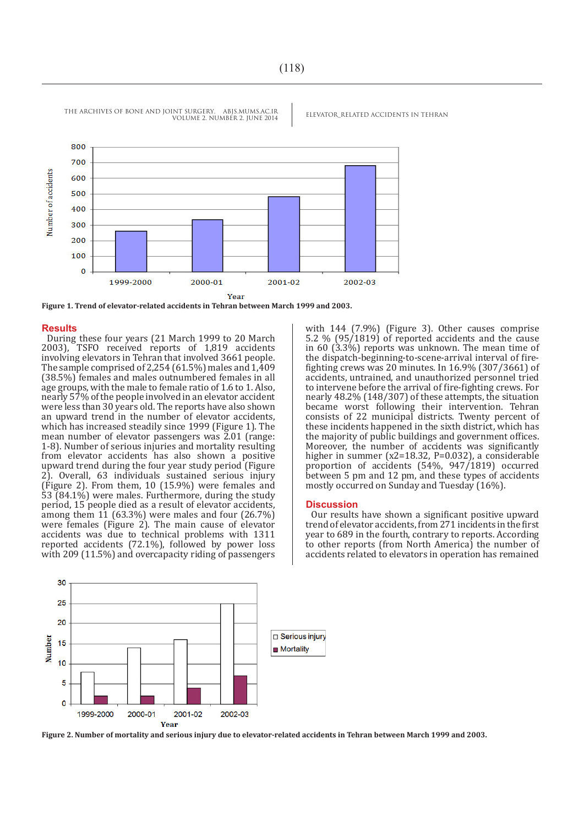THE ARCHIVES OF BONE AND JOINT SURGERY. ABJS.MUMS.AC.IR ELEVATOR RELATED ACCIDENTS IN TEHRAN VOLUME 2. NUMBER 2. JUNE 2014



**Figure 1. Trend of elevator-related accidents in Tehran between March 1999 and 2003.**

#### **Results**

During these four years (21 March 1999 to 20 March 2003), TSFO received reports of 1,819 accidents involving elevators in Tehran that involved 3661 people. The sample comprised of 2,254 (61.5%) males and 1,409 (38.5%) females and males outnumbered females in all age groups, with the male to female ratio of 1.6 to 1. Also, nearly 57% of the people involved in an elevator accident were less than 30 years old. The reports have also shown an upward trend in the number of elevator accidents, which has increased steadily since 1999 (Figure 1). The mean number of elevator passengers was 2.01 (range: 1-8). Number of serious injuries and mortality resulting from elevator accidents has also shown a positive upward trend during the four year study period (Figure 2). Overall, 63 individuals sustained serious injury (Figure 2). From them, 10 (15.9%) were females and 53 (84.1%) were males. Furthermore, during the study period, 15 people died as a result of elevator accidents, among them  $11$  (63.3%) were males and four (26.7%) were females (Figure 2). The main cause of elevator accidents was due to technical problems with 1311 reported accidents (72.1%), followed by power loss with 209 (11.5%) and overcapacity riding of passengers with 144 (7.9%) (Figure 3). Other causes comprise 5.2 % (95/1819) of reported accidents and the cause in 60 (3.3%) reports was unknown. The mean time of the dispatch-beginning-to-scene-arrival interval of firefighting crews was 20 minutes. In 16.9% (307/3661) of accidents, untrained, and unauthorized personnel tried to intervene before the arrival of fire-fighting crews. For nearly 48.2% (148/307) of these attempts, the situation became worst following their intervention. Tehran consists of 22 municipal districts. Twenty percent of these incidents happened in the sixth district, which has the majority of public buildings and government offices. Moreover, the number of accidents was significantly higher in summer (x2=18.32, P=0.032), a considerable proportion of accidents (54%, 947/1819) occurred between 5 pm and 12 pm, and these types of accidents mostly occurred on Sunday and Tuesday (16%).

#### **Discussion**

Our results have shown a significant positive upward trend of elevator accidents, from 271 incidents in the first year to 689 in the fourth, contrary to reports. According to other reports (from North America) the number of accidents related to elevators in operation has remained



**Figure 2. Number of mortality and serious injury due to elevator-related accidents in Tehran between March 1999 and 2003.**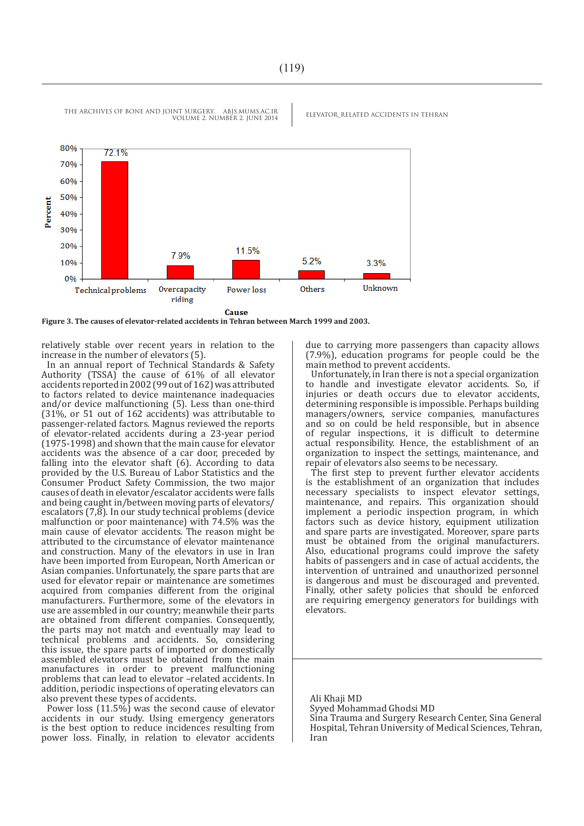THE ARCHIVES OF BONE AND JOINT SURGERY. ABJS.MUMS.AC.IR ELEVATOR\_RELATED ACCIDENTS IN TEHRAN VOLUME 2. NUMBER 2. JUNE 2014



Cause

**Figure 3. The causes of elevator-related accidents in Tehran between March 1999 and 2003.**

relatively stable over recent years in relation to the increase in the number of elevators (5).

In an annual report of Technical Standards & Safety Authority (TSSA) the cause of 61% of all elevator accidents reported in 2002 (99 out of 162) was attributed to factors related to device maintenance inadequacies and/or device malfunctioning (5). Less than one-third (31%, or 51 out of 162 accidents) was attributable to passenger-related factors. Magnus reviewed the reports of elevator-related accidents during a 23-year period (1975-1998) and shown that the main cause for elevator accidents was the absence of a car door, preceded by falling into the elevator shaft (6). According to data provided by the U.S. Bureau of Labor Statistics and the Consumer Product Safety Commission, the two major causes of death in elevator/escalator accidents were falls and being caught in/between moving parts of elevators/ escalators (7,8). In our study technical problems (device malfunction or poor maintenance) with 74.5% was the main cause of elevator accidents. The reason might be attributed to the circumstance of elevator maintenance and construction. Many of the elevators in use in Iran have been imported from European, North American or Asian companies. Unfortunately, the spare parts that are used for elevator repair or maintenance are sometimes acquired from companies different from the original manufacturers. Furthermore, some of the elevators in use are assembled in our country; meanwhile their parts are obtained from different companies. Consequently, the parts may not match and eventually may lead to technical problems and accidents. So, considering this issue, the spare parts of imported or domestically assembled elevators must be obtained from the main manufactures in order to prevent malfunctioning problems that can lead to elevator –related accidents. In addition, periodic inspections of operating elevators can also prevent these types of accidents.

Power loss (11.5%) was the second cause of elevator accidents in our study. Using emergency generators is the best option to reduce incidences resulting from power loss. Finally, in relation to elevator accidents

due to carrying more passengers than capacity allows (7.9%), education programs for people could be the main method to prevent accidents.

Unfortunately, in Iran there is not a special organization to handle and investigate elevator accidents. So, if injuries or death occurs due to elevator accidents, determining responsible is impossible. Perhaps building managers/owners, service companies, manufactures and so on could be held responsible, but in absence of regular inspections, it is difficult to determine actual responsibility. Hence, the establishment of an organization to inspect the settings, maintenance, and repair of elevators also seems to be necessary.

The first step to prevent further elevator accidents is the establishment of an organization that includes necessary specialists to inspect elevator settings, maintenance, and repairs. This organization should implement a periodic inspection program, in which factors such as device history, equipment utilization and spare parts are investigated. Moreover, spare parts must be obtained from the original manufacturers. Also, educational programs could improve the safety habits of passengers and in case of actual accidents, the intervention of untrained and unauthorized personnel is dangerous and must be discouraged and prevented. Finally, other safety policies that should be enforced are requiring emergency generators for buildings with elevators.

Ali Khaji MD Syyed Mohammad Ghodsi MD Sina Trauma and Surgery Research Center, Sina General

Hospital, Tehran University of Medical Sciences, Tehran, Iran